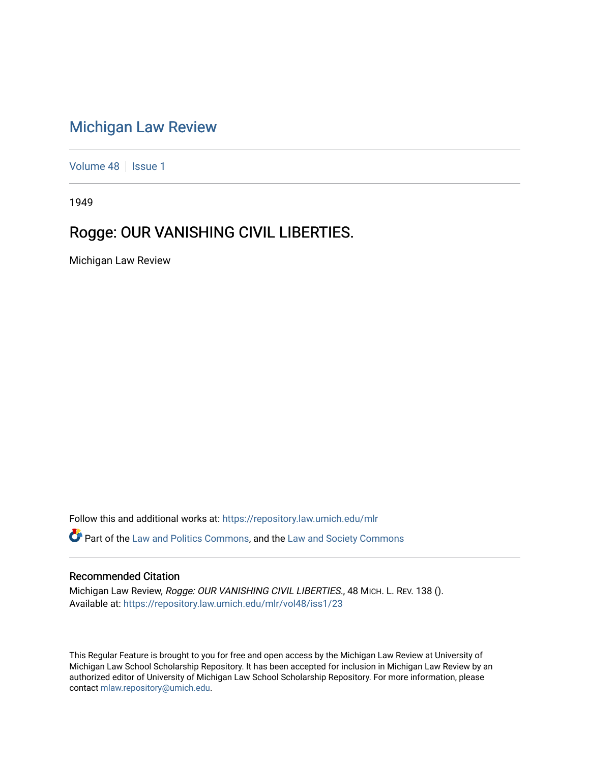## [Michigan Law Review](https://repository.law.umich.edu/mlr)

[Volume 48](https://repository.law.umich.edu/mlr/vol48) | [Issue 1](https://repository.law.umich.edu/mlr/vol48/iss1)

1949

## Rogge: OUR VANISHING CIVIL LIBERTIES.

Michigan Law Review

Follow this and additional works at: [https://repository.law.umich.edu/mlr](https://repository.law.umich.edu/mlr?utm_source=repository.law.umich.edu%2Fmlr%2Fvol48%2Fiss1%2F23&utm_medium=PDF&utm_campaign=PDFCoverPages) 

**P** Part of the [Law and Politics Commons,](http://network.bepress.com/hgg/discipline/867?utm_source=repository.law.umich.edu%2Fmlr%2Fvol48%2Fiss1%2F23&utm_medium=PDF&utm_campaign=PDFCoverPages) and the Law and Society Commons

## Recommended Citation

Michigan Law Review, Rogge: OUR VANISHING CIVIL LIBERTIES., 48 MICH. L. REV. 138 (). Available at: [https://repository.law.umich.edu/mlr/vol48/iss1/23](https://repository.law.umich.edu/mlr/vol48/iss1/23?utm_source=repository.law.umich.edu%2Fmlr%2Fvol48%2Fiss1%2F23&utm_medium=PDF&utm_campaign=PDFCoverPages) 

This Regular Feature is brought to you for free and open access by the Michigan Law Review at University of Michigan Law School Scholarship Repository. It has been accepted for inclusion in Michigan Law Review by an authorized editor of University of Michigan Law School Scholarship Repository. For more information, please contact [mlaw.repository@umich.edu](mailto:mlaw.repository@umich.edu).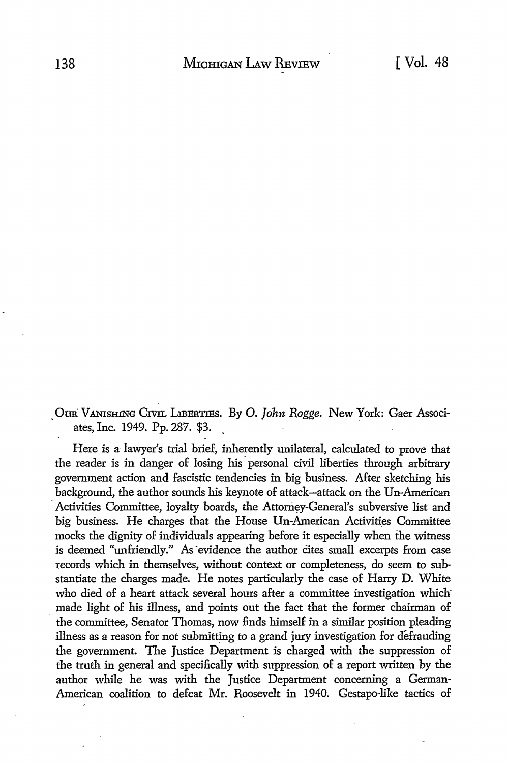. OUR'. VANISHING CIVIL LIBERTIES. By 0. *John Rogge.* New York: Gaer Associates, Inc. 1949. Pp. 287. \$3. ,

Here is a- lawyer's trial brief, inherently unilateral, calculated to prove that the reader is in danger of losing his· personal civil liberties through arbitrary government action and fascistic tendencies in big business. After sketching his background, the author sounds his keynote of attack-attack on the Un-American Activities Committee, loyalty boards, the Attorney-General's subversive list and big business. He charges that the House Un-American Activities Committee mocks the dignity of individuals appearing before it especially when the witness is deemed "unfriendly." As evidence the author cites small excerpts from case records which in themselves, without context or completeness, do seem to substantiate the charges made. He notes particularly the case of Harry D. White who died of a heart attack several hours after a committee investigation which made light of his illness, and points out the fact that the former chairman of the committee, Senator Thomas, now finds himself in a similar position pleading illness as a reason for not submitting to a grand jury investigation for defrauding the government. The Justice Department is charged with the suppression of the truth in general and specifically with suppression of a report written by the author while he was with the Justice Department concerning a German-American coalition to defeat Mr. Roosevelt in 1940. Gestapo-like tactics of